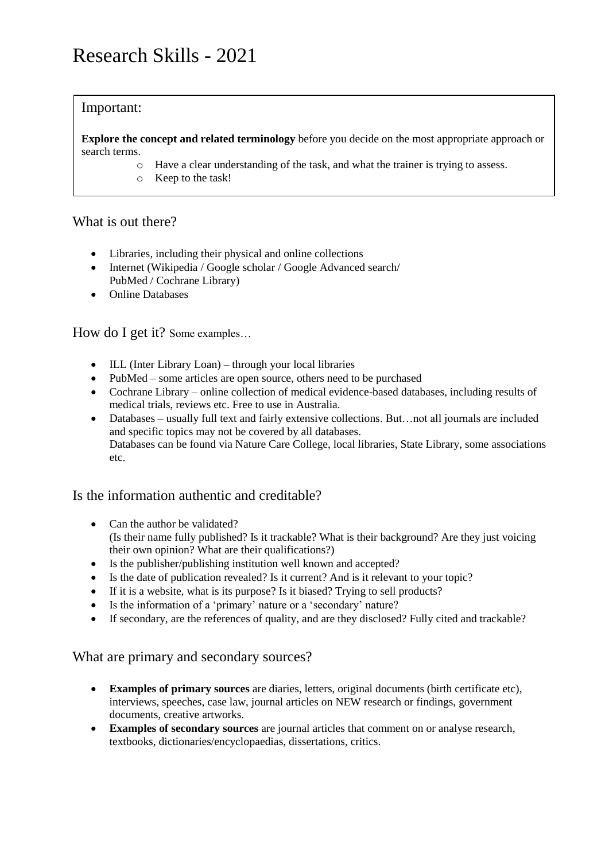# Important:

**Explore the concept and related terminology** before you decide on the most appropriate approach or search terms.

- o Have a clear understanding of the task, and what the trainer is trying to assess.
- o Keep to the task!

# What is out there?

- Libraries, including their physical and online collections
- Internet (Wikipedia / Google scholar / Google Advanced search/ PubMed / Cochrane Library)
- Online Databases

# How do I get it? Some examples…

- ILL (Inter Library Loan) through your local libraries
- PubMed some articles are open source, others need to be purchased
- Cochrane Library online collection of medical evidence-based databases, including results of medical trials, reviews etc. Free to use in Australia.
- Databases usually full text and fairly extensive collections. But…not all journals are included and specific topics may not be covered by all databases. Databases can be found via Nature Care College, local libraries, State Library, some associations etc.

# Is the information authentic and creditable?

- Can the author be validated? (Is their name fully published? Is it trackable? What is their background? Are they just voicing their own opinion? What are their qualifications?)
- Is the publisher/publishing institution well known and accepted?
- Is the date of publication revealed? Is it current? And is it relevant to your topic?
- If it is a website, what is its purpose? Is it biased? Trying to sell products?
- Is the information of a 'primary' nature or a 'secondary' nature?
- If secondary, are the references of quality, and are they disclosed? Fully cited and trackable?

# What are primary and secondary sources?

- **Examples of primary sources** are diaries, letters, original documents (birth certificate etc), interviews, speeches, case law, journal articles on NEW research or findings, government documents, creative artworks.
- **Examples of secondary sources** are journal articles that comment on or analyse research, textbooks, dictionaries/encyclopaedias, dissertations, critics.